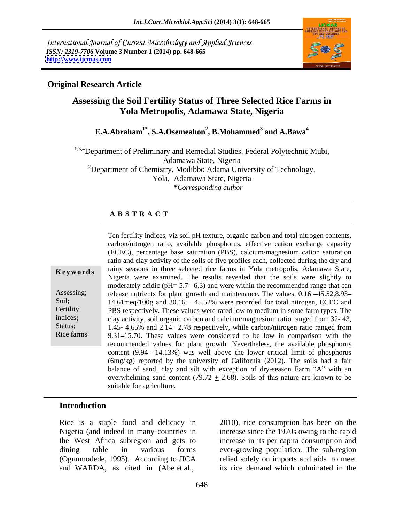International Journal of Current Microbiology and Applied Sciences *ISSN: 2319-7706* **Volume 3 Number 1 (2014) pp. 648-665 <http://www.ijcmas.com>**



### **Original Research Article**

# **Assessing the Soil Fertility Status of Three Selected Rice Farms in Yola Metropolis, Adamawa State, Nigeria**

**E.A.Abraham1\* , S.A.Osemeahon<sup>2</sup> , B.Mohammed<sup>3</sup> and A.Bawa<sup>4</sup>**

<sup>1,3,4</sup>Department of Preliminary and Remedial Studies, Federal Polytechnic Mubi, Adamawa State, Nigeria  $2D$ epartment of Chemistry, Modibbo Adama University of Technology, Yola, Adamawa State, Nigeria *\*Corresponding author* 

### **A B S T R A C T**

**Keywords** rainy seasons in three selected rice farms in Yola metropolis, Adamawa State, Assessing; release nutrients for plant growth and maintenance. The values, 0.16 -45.52,8.93-Soil; 14.61meq/100g and 30.16 - 45.52% were recorded for total nitrogen, ECEC and Fertility PBS respectively. These values were rated low to medium in some farm types. The indices; clay activity, soil organic carbon and calcium/magnesium ratio ranged from 32-43, Status; 1.45- 4.65% and 2.14 -2.78 respectively, while carbon/nitrogen ratio ranged from Rice farms 9.31–15.70. These values were considered to be low in comparison with the Ten fertility indices, viz soil pH texture, organic-carbon and total nitrogen contents, carbon/nitrogen ratio, available phosphorus, effective cation exchange capacity (ECEC), percentage base saturation (PBS), calcium/magnesium cation saturation ratio and clay activity of the soils of five profiles each, collected during the dry and Nigeria were examined. The results revealed that the soils were slightly to moderately acidic ( $pH = 5.7 - 6.3$ ) and were within the recommended range that can recommended values for plant growth. Nevertheless, the available phosphorus content  $(9.94 - 14.13%)$  was well above the lower critical limit of phosphorus (6mg/kg) reported by the university of California (2012). The soils had a fair balance of sand, clay and silt with exception of dry-season Farm "A" with an overwhelming sand content (79.72  $\pm$  2.68). Soils of this nature are known to be suitable for agriculture.

### **Introduction**

Rice is a staple food and delicacy in Nigeria (and indeed in many countries in increase since the 1970s owing to the rapid the West Africa subregion and gets to increase in its per capita consumption and dining table in various forms ever-growing population. The sub-region (Ogunmodede, 1995). According to JICA and WARDA, as cited in (Abe et al.,

2010), rice consumption has been on the relied solely on imports and aids to meet its rice demand which culminated in the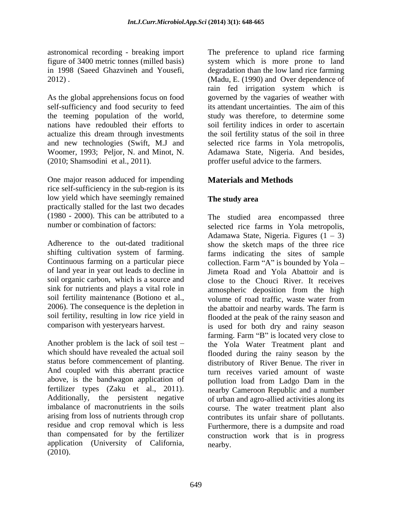As the global apprehensions focus on food self-sufficiency and food security to feed its attendant uncertainties. The aim of this the teeming population of the world,

One major reason adduced for impending rice self-sufficiency in the sub-region is its low yield which have seemingly remained The study area practically stalled for the last two decades (1980 - 2000). This can be attributed to a The studied area encompassed three

Continuous farming on a particular piece collection. Farm "A" is bounded by  $Yola$  – soil organic carbon, which is a source and soil fertility maintenance (Botiono et al., volume of road traffic, waste water from 2006). The consequence is the depletion in the abattoir and nearby wards. The farm is

above, is the bandwagon application of application (University of California,  $(2010).$ 

astronomical recording - breaking import The preference to upland rice farming figure of 3400 metric tonnes (milled basis) system which is more prone to land in 1998 (Saeed Ghazvineh and Yousefi, degradation than the low land rice farming 2012) . (Madu, E. (1990) and Over dependence of nations have redoubled their efforts to soil fertility indices in order to ascertain actualize this dream through investments the soil fertility status of the soil in three and new technologies (Swift, M.J and selected rice farms in Yola metropolis, Woomer, 1993; Peljor, N. and Minot, N. Adamawa State, Nigeria. And besides, (2010; Shamsodini et al., 2011). proffer useful advice to the farmers. rain fed irrigation system which is governed by the vagaries of weather with its attendant uncertainties. The aim of this study was therefore, to determine some

# **Materials and Methods**

# **The study area**

number or combination of factors: selected rice farms in Yola metropolis, Adherence to the out-dated traditional show the sketch maps of the three rice shifting cultivation system of farming. farms indicating the sites of sample of land year in year out leads to decline in Jimeta Road and Yola Abattoir and is sink for nutrients and plays a vital role in atmospheric deposition from the high soil fertility, resulting in low rice yield in flooded at the peak of the rainy season and comparison with yesteryears harvest. is used for both dry and rainy season Another problem is the lack of soil test  $-$  the Yola Water Treatment plant and which should have revealed the actual soil flooded during the rainy season by the status before commencement of planting. distributory of River Benue. The river in And coupled with this aberrant practice turn receives varied amount of waste fertilizer types (Zaku et al., 2011). nearby Cameroon Republic and a number Additionally, the persistent negative of urban and agro-allied activities along its imbalance of macronutrients in the soils course. The water treatment plant also arising from loss of nutrients through crop contributes its unfair share of pollutants. residue and crop removal which is less Furthermore, there is a dumpsite and road than compensated for by the fertilizer construction work that is in progress Adamawa State, Nigeria. Figures  $(1 – 3)$ collection. Farm "A" is bounded by Yola  $$ close to the Chouci River. It receives volume of road traffic, waste water from the abattoir and nearby wards. The farm is farming. Farm "B" is located very close to pollution load from Ladgo Dam in the nearby.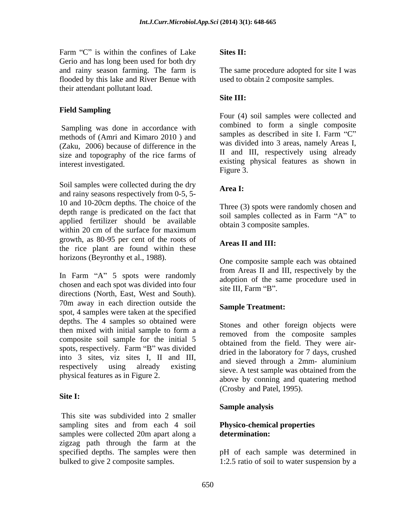Farm " $C$ " is within the confines of Lake Sites II: Gerio and has long been used for both dry and rainy season farming. The farm is The same procedure adopted for site I was flooded by this lake and River Benue with their attendant pollutant load.

methods of (Amri and Kimaro 2010 ) and (Zaku, 2006) because of difference in the size and topography of the rice farms of

Soil samples were collected during the dry **Area I:** and rainy seasons respectively from 0-5, 5- 10 and 10-20cm depths. The choice of the depth range is predicated on the fact that applied fertilizer should be available within 20 cm of the surface for maximum growth, as 80-95 per cent of the roots of the rice plant are found within these horizons (Beyronthy et al., 1988).

In Farm  $A^*$  5 spots were randomly chosen and each spot was divided into four site III. Farm "B". directions (North, East, West and South). 70m away in each direction outside the spot, 4 samples were taken at the specified depths. The 4 samples so obtained were then mixed with initial sample to form a second from the composite samples composite soil sample for the initial 5 spots, respectively. Farm "B" was divided into 3 sites, viz sites I, II and III, respectively using already existing sieve. A test sample was obtained from the relationship of the sites of the sites of the sites of the sites of the sites of the sites of the sites of the sites of the sites of the sites physical features as in Figure 2.

### **Site I:**

This site was subdivided into 2 smaller sampling sites and from each 4 soil samples were collected 20m apart along a **determination:** zigzag path through the farm at the specified depths. The samples were then bulked to give 2 composite samples. 1:2.5 ratio of soil to water suspension by a

### **Sites II:**

The same procedure adopted for site Iwas used to obtain 2 composite samples.

### **Site III:**

**Field Sampling** Sampling was done in accordance with<br>mathods of  $(Amri and Kimere 2010)$  and<br>samples as described in site I. Farm "C" interest investigated. existing physical features as shown in Four (4) soil samples were collected and combined to form a single composite samples as described in site I. Farm "C" was divided into 3 areas, namely Areas I, II and III, respectively using already Figure 3.

### **Area I:**

Three (3) spots were randomly chosen and soil samples collected as in Farm "A" to obtain 3 composite samples.

### **Areas II and III:**

One composite sample each was obtained from Areas II and III, respectively by the adoption of the same procedure used in site III, Farm "B".

### **Sample Treatment:**

Stones and other foreign objects were removed from the composite samples obtained from the field. They were air dried in the laboratory for 7 days, crushed and sieved through a 2mm- aluminium above by conning and quatering method (Crosby and Patel, 1995).

### **Sample analysis**

### **Physico-chemical properties determination:**

pH of each sample was determined in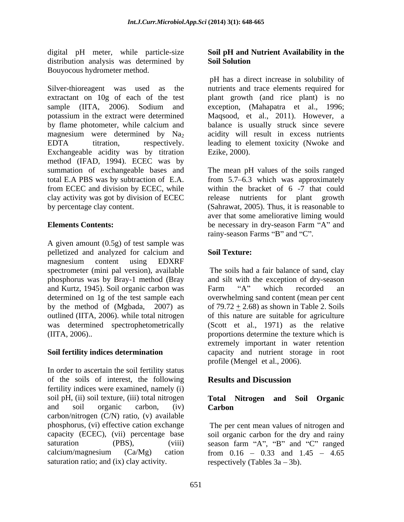digital pH meter, while particle-size distribution analysis was determined by **Soil Solution** 

extractant on 10g of each of the test plant growth (and rice plant) is no sample (IITA, 2006). Sodium and exception, (Mahapatra et al., 1996; potassium in the extract were determined Maqsood, et al., 2011). However, a by flame photometer, while calcium and balance is usually struck since severe magnesium were determined by  $Na<sub>2</sub>$  acidity will result in excess nutrients EDTA titration, respectively. leading to element toxicity (Nwoke and Exchangeable acidity was by titration method (IFAD, 1994). ECEC was by summation of exchangeable bases and The mean pH values of the soils ranged total E.A PBS was by subtraction of E.A. from 5.7 6.3 which was approximately from ECEC and division by ECEC, while within the bracket of 6 -7 that could clay activity was got by division of ECEC by percentage clay content. (Sahrawat, 2005). Thus, it is reasonable to

A given amount (0.5g) of test sample was pelletized and analyzed for calcium and magnesium content using EDXRF spectrometer (mini pal version), available The soils had a fair balance of sand, clay phosphorus was by Bray-1 method (Bray and silt with the exception of dry-season and Kurtz, 1945). Soil organic carbon was determined on 1g of the test sample each overwhelming sand content (mean per cent by the method of (Mgbada, 2007) as  $\qquad$  of 79.72  $\pm$  2.68) as shown in Table 2. Soils outlined (IITA, 2006). while total nitrogen of this nature are suitable for agriculture was determined spectrophetometrically (Scott et al., 1971) as the relative (IITA, 2006).. proportions determine the texture which is

In order to ascertain the soil fertility status of the soils of interest, the following **Results and Discussion** fertility indices were examined, namely (i) soil pH, (ii) soil texture, (iii) total nitrogen **Total Nitrogen and Soil Organic** and soil organic carbon, (iv) **Carbon** carbon/nitrogen (C/N) ratio, (v) available phosphorus, (vi) effective cation exchange The per cent mean values of nitrogen and capacity (ECEC), (vii) percentage base soil organic carbon for the dry and rainy saturation (PBS), (viii) season farm "A", "B" and "C" ranged  $calcium/magnesium$   $(Ca/Mg)$  cation from  $0.16 - 0.33$  and  $1.45 - 4.65$ saturation ratio; and (ix) clay activity.

### **Soil pH and Nutrient Availability in the Soil Solution**

Bouyocous hydrometer method.<br>Silver-thioreagent was used as the mutrients and trace elements required for pH has a direct increase in solubility of nutrients and trace elements required for Ezike, 2000).

**Elements Contents:** be necessary in dry-season Farm "A" and release nutrients for plant growth aver that some ameliorative liming would rainy-season Farms "B" and "C".

### **Soil Texture:**

**Soil fertility indices determination** capacity and nutrient storage in root Farm "A" which recorded an extremely important in water retention profile (Mengel et al., 2006).

# **Results and Discussion**

### **Total Nitrogen and Soil Carbon Carbon Carbon Carbon Carbon Carbon Carbon Carbon Carbon Carbon Carbon Carbon Carbon Carbon Carbon Carbon Carbon Carbon Carbon Carbon Carbon Carbon Carbon Carbon Carbo**

respectively (Tables  $3a - 3b$ ).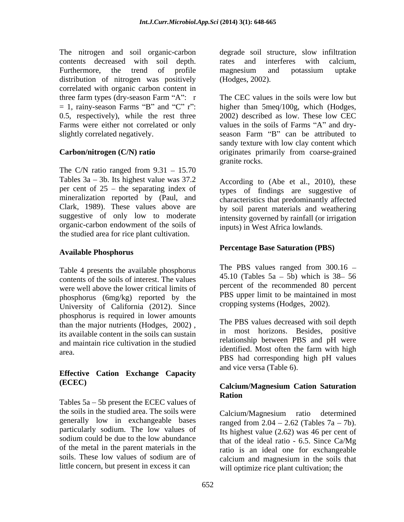The nitrogen and soil organic-carbon degrade soil structure, slow infiltration contents decreased with soil depth. Furthermore, the trend of profile magnesium and potassium uptake distribution of nitrogen was positively correlated with organic carbon content in three farm types (dry-season Farm "A":  $r$ 

The C/N ratio ranged from  $9.31 - 15.70$ Tables  $3a - 3b$ . Its highest value was  $37.2$ per cent of  $25$  – the separating index of mineralization reported by (Paul, and characteristics that predominantly affected Clark, 1989). These values above are by soil parent materials and weathering suggestive of only low to moderate organic-carbon endowment of the soils of the studied area for rice plant cultivation.

### **Available Phosphorus**

Table 4 presents the available phosphorus contents of the soils of interest. The values were well above the lower critical limits of phosphorus (6mg/kg) reported by the University of California (2012). Since phosphorus is required in lower amounts than the major nutrients (Hodges, 2002) , its available content in the soils can sustain and maintain rice cultivation in the studied area. The maintain rice can value in the statistic identified. Most often the farm with high

# **Effective Cation Exchange Capacity**

Tables  $5a - 5b$  present the ECEC values of the soils in the studied area. The soils were generally low in exchangeable bases sodium could be due to the low abundance of the metal in the parent materials in the little concern, but present in excess it can

rates and interferes with calcium, magnesium and potassium uptake (Hodges, 2002).

 $= 1$ , rainy-season Farms "B" and "C" r": higher than 5meq/100g, which (Hodges, 0.5, respectively), while the rest three 2002) described as low. These low CEC Farms were either not correlated or only values in the soils of Farms "A" and dryslightly correlated negatively. The season Farm "B" can be attributed to **Carbon/nitrogen (C/N) ratio** originates primarily from coarse-grained The CEC values in the soils were low but sandy texture with low clay content which granite rocks.

> According to (Abe et al., 2010), these types of findings are suggestive of intensity governed by rainfall (or irrigation inputs) in West Africa lowlands.

### **Percentage Base Saturation (PBS)**

The PBS values ranged from 300.16 45.10 (Tables  $5a - 5b$ ) which is  $38 - 56$ percent of the recommended 80 percent PBS upper limit to be maintained in most cropping systems (Hodges, 2002).

The PBS values decreased with soil depth in most horizons. Besides, positive relationship between PBS and pH were identified. Most often the farm with high PBS had corresponding high pH values and vice versa (Table 6).

# **(ECEC) Calcium/Magnesium Cation Saturation Ration**

particularly sodium. The low values of Its highest value (2.62) was 46 per cent of soils. These low values of sodium are of calcium and magnesium in the soils that Calcium/Magnesium ratio determined ranged from  $2.04 - 2.62$  (Tables  $7a - 7b$ ). that of the ideal ratio - 6.5. Since Ca/Mg ratio is an ideal one for exchangeable will optimize rice plant cultivation; the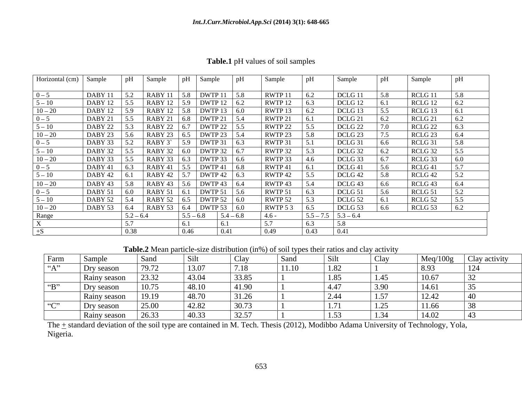| Table.1<br><sup>1</sup> pH values of soil sa.<br>$^{\circ}$ amples |  |
|--------------------------------------------------------------------|--|
|--------------------------------------------------------------------|--|

| Horizontal (cm) $\vert$ | Sample      |             | Sample                          | Sample                       | Sample   |                 | Sample                  |        | Sample             |           |
|-------------------------|-------------|-------------|---------------------------------|------------------------------|----------|-----------------|-------------------------|--------|--------------------|-----------|
| $0 - 5$                 | DABY 11     |             | RABY 11<br>5.8                  | DWTP 11                      | RWTP 11  | 16.2            | DCLG 11                 |        | RCLG 1             | 58        |
| $5 - 10$                | DABY 12 5.5 |             | RABY 12   5.9   DWTP 12   6.2   |                              | RWTP 12  | 16.3            | DCLG 12                 |        | RCLG 12            | 6.2       |
| $10 - 20$               | DABY 12     |             | RABY 12   5.8   DWTP 13   6.0   |                              | RWTP 13  |                 | DCLG 13                 |        | RCLG 13            |           |
| $0 - 5$                 | DABY 21     |             | RABY 21                         | $6.8$ DWTP 21                | RWTP 21  | 10.1            | DCLG 21                 |        | RCLG <sub>21</sub> | 6.2       |
| $5 - 10$                | DABY 22     |             | RABY 22   6.7   DWTP 22   5.5   |                              | RWTP 22  | $\overline{55}$ | DCLG 22                 |        | RCLG 22            | 6.3       |
| $10 - 20$               | DABY 23     |             | RABY 23<br>6.5                  | $\boxed{\text{DWTP 23}}$     | RWTP 23  | $-5.8$          | DCLG 23                 |        | RCLG <sub>23</sub> | 6.4       |
| $0 - 5$                 | DABY 33     | 5.2         | $RABY$ 3                        | $\vert$ 5.9 DWTP 31 6.3      | RWTP 31  |                 | DCLG 31                 | $-6.6$ | $RCLG$ 31          | 5.8       |
| $5 - 10$                | DABY 32     |             | RABY 32                         | DWTP 32 6.7                  | RWTP 32  |                 | DCLG 32                 |        | RCLG 32            |           |
| $10 - 20$               | DABY 33     |             | RABY 33                         | DWTP 33 6.6                  | RWTP 33  | 14.6            | DCLG 33                 |        | RCLG 33            | 6.0       |
| $0 - 5$                 | DABY 41     |             | RABY 41                         | $\boxed{\text{DWTP 41}}$ 6.8 | RWTP 41  |                 | DCLG 41                 |        | RCLG <sub>41</sub> |           |
| $5 - 10$                | DABY 42     | 0.1         | RABY 42                         | DWTP 42   $6.3$              | RWTP 42  |                 | DCLG 42                 |        | RCLG 42            | 5.2       |
| $10 - 20$               | DABY 43     |             | RABY 43                         | $\boxed{\text{DWTP 43}}$ 6.4 | RWTP 43  |                 | DCLG <sub>43</sub>      |        | RCLG 43            | 6.4       |
| $0 - 5$                 | DABY 51     |             | RABY 51 6.                      | DWTP 51 5.6                  | RWTP 51  |                 | DCLG <sub>51</sub>      |        | RCLG 51            | 5.2       |
| $5 - 10$                | DABY 52     |             | $\vert$ RABY 52 6.5 DWTP 52 6.0 |                              | RWTP 52  |                 | DCLG 52                 |        | RCLG <sub>52</sub> |           |
| $10 - 20$               | DABY 53     | 6.4         | RABY 53   6.4   DWTP 53   6.0   |                              | RWTP 5 3 | 16.5            | DCLG 53                 | 16.6   | RCLG <sub>53</sub> | $\pm 6.2$ |
| Range                   |             | $5.2 - 6.4$ |                                 | $5.5 - 6.8$ $5.4 - 6.8$      | $-4.6-$  |                 | $5.5 - 7.5$ $5.3 - 6.4$ |        |                    |           |
|                         |             |             |                                 |                              |          |                 |                         |        |                    |           |
|                         |             |             |                                 | 0.46<br>0.41                 | 0.49     | 0.43            | 0.41                    |        |                    |           |

**Table.2** Mean particle-size distribution (in%) of soil types their ratios and clay activity

| Farm               | Sampl        | Sanc  | Silt  | ∪.u   | Sand          | S <sub>111</sub> | Clay                    | Meq/100g               | Clay activity |
|--------------------|--------------|-------|-------|-------|---------------|------------------|-------------------------|------------------------|---------------|
| $A^{\prime\prime}$ | Dry season   | 79.72 | 13.07 | 7.18  | $\vert$ 11.10 | 1.82             |                         |                        |               |
|                    | Rainy season | 23.32 | 43.04 | 33.85 |               | 105              | $1 \quad 1 \in$<br>1.4. | 10.67                  |               |
| $\mathbf{B}$       | Dry season   | 10.75 | 48.10 | 41.90 |               |                  | 3.90                    | 14.61                  |               |
|                    | Rainy season | 19.19 | 48.70 | 31.26 |               |                  | ⊥ ∙∙                    | $1 \cap$ $1'$<br>⊥∠.⊤∠ |               |
| $66 \cap 22$       | Dry season   | 25.00 | 42.82 | 30.73 |               |                  | 1.4                     | 11.66                  |               |
|                    | Rainy season | 26.33 | 40.33 | 32.57 |               |                  | 1.3/<br>- ب             | 14.02                  |               |

The  $\pm$  standard deviation of the soil type are contained in M. Tech. Thesis (2012), Modibbo Adama University of Technology, Yola, Nigeria.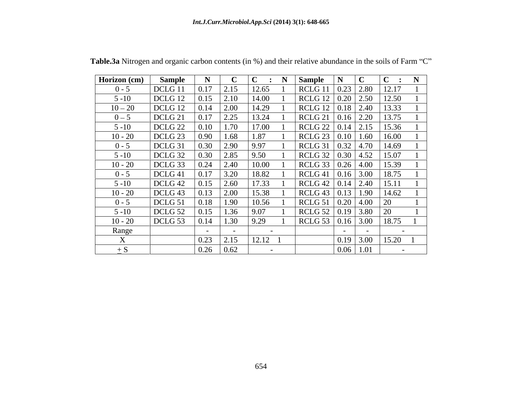| Horizon (cm) | Sample             |      |                    | $ C \cdot N$ | Sample                                            | I IN I |                               |       |               |  |
|--------------|--------------------|------|--------------------|--------------|---------------------------------------------------|--------|-------------------------------|-------|---------------|--|
| $0 - 5$      | DCLG 11            |      | 2.15               | 12.65        | RCLG 11                                           |        | $\sqrt{0.23}$ 2.80            | 12.17 |               |  |
| $5 - 10$     | DCLG 12            | 0.15 | 2.10               | 14.00        | $RCLG$ 12 $\boxed{0.20}$ 2.50                     |        |                               | 12.50 |               |  |
| $10 - 20$    | DCLG 12            |      | 2.00               | 14.29        | $RCLG$ 12 $\boxed{0.18}$ 2.40                     |        |                               | 13.33 |               |  |
| $0 - 5$      | DCLG 21            |      | 2.25               | 13.24        | RCLG <sub>21</sub>                                |        | $\vert 0.16 \vert 2.20 \vert$ | 13.75 |               |  |
| $5 - 10$     | DCLG <sub>22</sub> |      | $\vert$ 1.70       | 17.00        | $\vert$ RCLG 22 $\vert$ 0.14 $\vert$ 2.15 $\vert$ |        |                               | 15.36 |               |  |
| $10 - 20$    | DCLG 23            | 0.90 | $\vert$ 1.68       | 1.87         | RCLG 23   0.10   1.60                             |        |                               | 16.00 |               |  |
| $0 - 5$      | DCLG 31            | 0.30 | 2.90               | 9.97         | RCLG 31                                           |        | 1   0.32   4.70   14.69       |       |               |  |
| $5 - 10$     | DCLG 32            | 0.30 | 2.85               | 9.50         | RCLG 32 0.30 4.52 15.07                           |        |                               |       |               |  |
| $10 - 20$    | DCLG 33            | 0.24 | $\boxed{2.40}$     | 10.00        | $RCLG$ 33 0.26 4.00                               |        |                               | 15.39 |               |  |
| $0 - 5$      | DCLG <sub>41</sub> |      | 3.20               | 18.82        | RCLG <sub>41</sub>                                |        | $\vert 0.16 \vert 3.00 \vert$ | 18.75 |               |  |
| $5 - 10$     | DCLG <sub>42</sub> | 0.15 | 2.60               | 17.33        | $\vert$ RCLG 42 $\vert$ 0.14 $\vert$ 2.40         |        |                               | 15.11 |               |  |
| $10 - 20$    | DCLG 43            | 0.13 | 2.00               | 15.38        | RCLG 43   0.13   1.90   14.62                     |        |                               |       |               |  |
| $0 - 5$      | DCLG 51            | 0.18 | $\vert$ 1.90       | 10.56        | RCLG 51   0.20   4.00                             |        |                               | 20    |               |  |
| $5 - 10$     | DCLG 52            |      | 1.36               | 9.07         | $RCLG$ 52 0.19 3.80                               |        |                               | 20    |               |  |
| $10 - 20$    | DCLG 53            |      | $\vert$ 1.30       | 9.29         | RCLG 53   0.16   3.00                             |        |                               | 18.75 |               |  |
| Range        |                    |      |                    |              |                                                   |        |                               |       |               |  |
|              |                    | 0.23 | 2.15               | $12.12$ 1    |                                                   |        | $0.19$ 3.00                   | 15.20 |               |  |
|              |                    | 0.26 | $\vert 0.62 \vert$ |              |                                                   | 0.06   | 1.01                          |       | $\sim$ $\sim$ |  |

Table.3a Nitrogen and organic carbon contents (in %) and their relative abundance in the soils of Farm "C"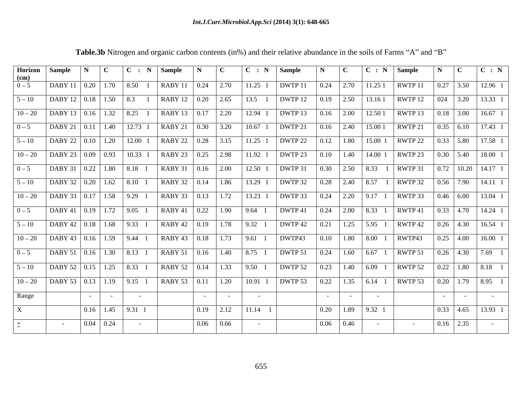|                           | Horizon Sample                                                           |              |                          |                                            | $\vert C \vert : N \vert$ Sample                                                                                   | $\mathbf N$              | $\Box$ C             | $C : N$ Sample                                                                            |                                                                                                                                                                                                                                     | $\mathbf N$ $\mathbf C$ |                 | $\mid C : N \mid$ Sample |                                 |             |                            |                                                                                           |
|---------------------------|--------------------------------------------------------------------------|--------------|--------------------------|--------------------------------------------|--------------------------------------------------------------------------------------------------------------------|--------------------------|----------------------|-------------------------------------------------------------------------------------------|-------------------------------------------------------------------------------------------------------------------------------------------------------------------------------------------------------------------------------------|-------------------------|-----------------|--------------------------|---------------------------------|-------------|----------------------------|-------------------------------------------------------------------------------------------|
| (cm)<br>$0 - 5$           | $\vert$ DABY 11   0.20   1.70   8.50 1                                   |              |                          |                                            | $RABY11 \mid 0.24 \mid 2.70$                                                                                       |                          |                      |                                                                                           | 11.25 1   DWTP 11   0.24   2.70   11.25 1   RWTP 11                                                                                                                                                                                 |                         |                 |                          |                                 |             |                            |                                                                                           |
|                           |                                                                          |              |                          |                                            |                                                                                                                    |                          |                      |                                                                                           | $\mid 5-10 \mid$ DABY 12   0.18   1.50   8.3 1   RABY 12   0.20   2.65   13.5 1   DWTP 12   0.19   2.50   13.161   RWTP 12   024   3.20   13.33 1                                                                                   |                         |                 |                          |                                 |             |                            |                                                                                           |
|                           |                                                                          |              |                          |                                            | $\vert$ 10 – 20 $\vert$ DABY 13 $\vert$ 0.16 $\vert$ 1.32 $\vert$ 8.25 1 $\vert$ RABY 13 $\vert$ 0.17 $\vert$ 2.20 |                          |                      |                                                                                           | 12.94 1   DWTP 13   0.16   2.00   12.50 1   RWTP 13   0.18   3.00   16.67 1                                                                                                                                                         |                         |                 |                          |                                 |             |                            |                                                                                           |
|                           |                                                                          |              |                          |                                            |                                                                                                                    |                          |                      |                                                                                           |                                                                                                                                                                                                                                     |                         |                 |                          |                                 |             |                            |                                                                                           |
| $0 - 5$                   | $\vert$ DABY 21   0.11   1.40   12.73 1                                  |              |                          |                                            | $\vert$ RABY 21   0.30   3.20                                                                                      |                          |                      |                                                                                           | 10.67 1   DWTP 21   0.16   2.40   15.00 1                                                                                                                                                                                           |                         |                 |                          | RWTP 21                         |             |                            | $\begin{array}{ c c c c c c c c c } \hline 0.35 & 6.10 & 17.43 & 1 \\ \hline \end{array}$ |
|                           |                                                                          |              |                          |                                            |                                                                                                                    |                          |                      |                                                                                           |                                                                                                                                                                                                                                     |                         |                 |                          |                                 |             |                            | $\begin{array}{ c c c c c c c c c } \hline 0.33 & 5.80 & 17.58 & 1 \\ \hline \end{array}$ |
|                           |                                                                          |              |                          |                                            |                                                                                                                    |                          |                      |                                                                                           | $\mid 10-20 \mid$ DABY 23 $\mid 0.09 \mid$ 0.93 $\mid$ 10.33 1 $\mid$ RABY 23 $\mid$ 0.25 $\mid$ 2.98 $\mid$ 11.92 1 $\mid$ DWTP 23 $\mid$ 0.10 $\mid$ 1.40 $\mid$ 14.00 1 $\mid$ RWTP 23 $\mid$ 0.30 $\mid$ 5.40 $\mid$ 18.00 1    |                         |                 |                          |                                 |             |                            |                                                                                           |
|                           |                                                                          |              |                          |                                            |                                                                                                                    |                          |                      |                                                                                           | 12.50 1   DWTP 31   0.30   2.50   8.33 1   RWTP 31                                                                                                                                                                                  |                         |                 |                          |                                 |             |                            | $\mid$ 0.72   10.20   14.17 1                                                             |
|                           | $5-10$ DABY 32   0.20   1.62   8.10 1                                    |              |                          |                                            | $RABY$ 32   0.14   1.86                                                                                            |                          |                      |                                                                                           | 13.29 1   DWTP 32   0.28   2.40   8.57 1   RWTP 32   0.56   7.90   14.11 1                                                                                                                                                          |                         |                 |                          |                                 |             |                            |                                                                                           |
|                           | $\vert$ 10 – 20 $\vert$ DABY 33 $\vert$ 0.17 $\vert$ 1.58 $\vert$ 9.29 1 |              |                          |                                            |                                                                                                                    |                          |                      |                                                                                           | RABY 33   0.13   1.72   13.23 1   DWTP 33   0.24   2.20   9.17 1   RWTP 33   0.46   6.00   13.04 1                                                                                                                                  |                         |                 |                          |                                 |             |                            |                                                                                           |
|                           |                                                                          |              |                          |                                            |                                                                                                                    |                          |                      |                                                                                           | $\vert$ RABY 41   0.22   1.90   9.64 1   DWTP 41   0.24   2.00   8.33 1   RWTP 41   0.33   4.70   14.24 1                                                                                                                           |                         |                 |                          |                                 |             |                            |                                                                                           |
|                           | $5-10$ DABY 42   0.18   1.68   9.33 1                                    |              |                          |                                            | $\vert$ RABY 42   0.19   1.78   9.32 1                                                                             |                          |                      |                                                                                           | DWTP 42   0.21   1.25   5.95 1   RWTP 42   0.26   4.30   16.54 1                                                                                                                                                                    |                         |                 |                          |                                 |             |                            |                                                                                           |
|                           | $10-20$ DABY 43 0.16 1.59 9.44 1                                         |              |                          |                                            |                                                                                                                    |                          |                      |                                                                                           | $\vert$ RABY 43   0.18   1.73   9.61 1   DWTP43                                                                                                                                                                                     |                         |                 |                          | $0.10$   1.80   8.00 1   RWTP43 |             |                            | $\begin{array}{ c c c c c c c c } \hline 0.25 & 4.00 & 16.00 & 1 \hline \end{array}$      |
|                           |                                                                          |              |                          |                                            |                                                                                                                    |                          |                      |                                                                                           |                                                                                                                                                                                                                                     |                         |                 |                          |                                 |             |                            |                                                                                           |
|                           |                                                                          |              |                          |                                            |                                                                                                                    |                          |                      |                                                                                           | $\vert$ RABY 51   0.16   1.40   8.75 1   DWTP 51   0.24   1.60   6.67 1   RWTP 51                                                                                                                                                   |                         |                 |                          |                                 |             |                            | $\vert 0.26 \vert 4.30 \vert 7.69 \vert 1$                                                |
|                           |                                                                          |              |                          |                                            |                                                                                                                    |                          |                      |                                                                                           | $\left[5-10\right]$ DABY 52 $\left[0.15\right]$ 1.25 $\left[8.33\right]$ 1 RABY 52 $\left[0.14\right]$ 1.33 $\left[9.50\right]$ 1 DWTP 52 $\left[0.23\right]$ 1.40 $\left[6.09\right]$ 1 RWTP 52                                    |                         |                 |                          |                                 |             |                            | $\begin{array}{ c c c c c c c c c } \hline 0.22 & 1.80 & 8.18 & 1 \\ \hline \end{array}$  |
|                           |                                                                          |              |                          |                                            |                                                                                                                    |                          |                      |                                                                                           | $\mid$ 10 – 20 $\mid$ DABY 53 $\mid$ 0.13 $\mid$ 1.19 $\mid$ 9.15 1 $\mid$ RABY 53 $\mid$ 0.11 $\mid$ 1.20 $\mid$ 10.91 1 $\mid$ DWTP 53 $\mid$ 0.22 $\mid$ 1.35 $\mid$ 6.14 1 $\mid$ RWTP 53 $\mid$ 0.20 $\mid$ 1.79 $\mid$ 8.95 1 |                         |                 |                          |                                 |             |                            |                                                                                           |
| Range                     |                                                                          | $\sim$ $  -$ | <b>Contract Contract</b> | <b>Contract Contract</b>                   |                                                                                                                    | <b>Contract Contract</b> | $\sim 100$ m $^{-1}$ |                                                                                           |                                                                                                                                                                                                                                     | $\sim 10^{-10}$         | $\sim 10^{-11}$ | $\sim 100$ m $^{-1}$     |                                 |             | the control of the control | <b>Contract Contract</b>                                                                  |
| $\boldsymbol{\mathrm{X}}$ |                                                                          |              |                          | $\vert 0.16 \vert 1.45 \vert 9.31 \vert 1$ |                                                                                                                    |                          |                      | $\begin{array}{ c c c c c c c c c } \hline 0.19 & 2.12 & 11.14 & 1 \\ \hline \end{array}$ |                                                                                                                                                                                                                                     |                         |                 |                          |                                 |             |                            | $\vert 0.33 \vert 4.65 \vert 13.93 \vert 1$                                               |
|                           | <b>Contract Contract</b>                                                 |              | $0.04 \ 0.24$            | $\sim 100$ m $^{-1}$                       |                                                                                                                    |                          | $0.06$ 0.66          |                                                                                           |                                                                                                                                                                                                                                     |                         | $0.06$ 0.46     | $\sim 100$ km s $^{-1}$  |                                 | $0.16$ 2.35 |                            | <b>Contract Contract</b>                                                                  |
|                           |                                                                          |              |                          |                                            |                                                                                                                    |                          |                      |                                                                                           |                                                                                                                                                                                                                                     |                         |                 |                          |                                 |             |                            |                                                                                           |

Table.3b Nitrogen and organic carbon contents (in%) and their relative abundance in the soils of Farms "A" and "B"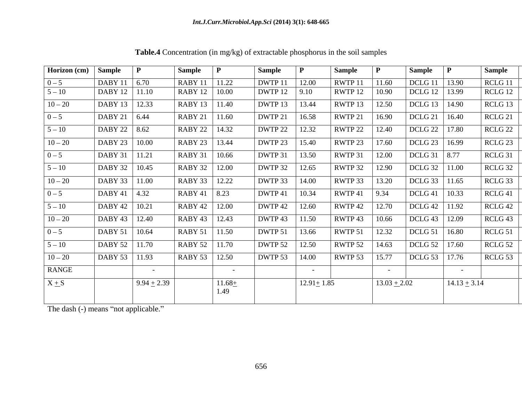| Horizon (cm) Sample |                   | $\mathbf{P}$         | Sample          |                   | Sample  |                  | <b>Sample</b> |                          | Sample $ P $      |                  | <b>Sample</b>      |
|---------------------|-------------------|----------------------|-----------------|-------------------|---------|------------------|---------------|--------------------------|-------------------|------------------|--------------------|
| $0 - 5$             | DABY 11 6.70      |                      | RABY 11         | 11.22             | DWTP 11 | 12.00            | RWTP 11       | 11.60                    | DCLG 11           | 13.90            | RCLG <sub>11</sub> |
| $5 - 10$            | DABY 12   11.10   |                      | RABY 12   10.00 |                   | DWTP 12 | 9.10             | RWTP 12       | 10.90                    | DCLG 12   13.99   |                  | RCLG 12            |
| $10 - 20$           | DABY 13   12.33   |                      | RABY 13   11.40 |                   | DWTP 13 | 13.44            | RWTP 13       | 12.50                    | DCLG 13   14.90   |                  | RCLG 13            |
| $0 - 5$             | DABY 21   $6.44$  |                      | RABY 21   11.60 |                   | DWTP 21 | 16.58            | RWTP 21       | 16.90                    | DCLG 21   16.40   |                  | RCLG <sub>21</sub> |
| $5 - 10$            | DABY 22 8.62      |                      | RABY 22   14.32 |                   | DWTP 22 | 12.32            | RWTP 22       | 12.40                    | DCLG 22   17.80   |                  | RCLG <sub>22</sub> |
| $10 - 20$           | DABY 23   10.00   |                      | RABY 23   13.44 |                   | DWTP 23 | 15.40            | RWTP 23       | 17.60                    | DCLG 23   16.99   |                  | RCLG 23            |
| $0 - 5$             | DABY 31 11.21     |                      | RABY 31   10.66 |                   | DWTP 31 | 13.50            | RWTP 31       | 12.00                    | DCLG 31   8.77    |                  | RCLG 31            |
| $5 - 10$            | DABY 32   10.45   |                      | RABY 32 12.00   |                   | DWTP 32 | 12.65            | RWTP 32       | 12.90                    | $DCLG$ 32   11.00 |                  | RCLG 32            |
| $10 - 20$           | DABY 33   11.00   |                      | RABY 33   12.22 |                   | DWTP 33 | 14.00            | RWTP 33       | 13.20                    | DCLG 33 11.65     |                  | RCLG 33            |
| $0 - 5$             | $DABY 41$ 4.32    |                      | $RABY 41$ 8.23  |                   | DWTP 41 | 10.34            | RWTP 41       | 9.34                     | $DCLG 41$   10.33 |                  | RCLG <sub>41</sub> |
| $5 - 10$            | DABY 42   10.21   |                      | RABY 42   12.00 |                   | DWTP 42 | 12.60            | RWTP 42       | 12.70                    | DCLG 42   11.92   |                  | RCLG 42            |
| $10 - 20$           | $DABY 43$   12.40 |                      | RABY 43   12.43 |                   | DWTP 43 | 11.50            | RWTP 43       | 10.66                    | DCLG 43   12.09   |                  | RCLG <sub>43</sub> |
| $0 - 5$             | DABY 51   10.64   |                      | RABY 51   11.50 |                   | DWTP 51 | 13.66            | RWTP 51       | 12.32                    | DCLG 51   16.80   |                  | RCLG <sub>51</sub> |
| $5 - 10$            | DABY 52   11.70   |                      | RABY 52   11.70 |                   | DWTP 52 | 12.50            | RWTP 52       | 14.63                    | DCLG 52   17.60   |                  | RCLG 52            |
| $10 - 20$           | DABY 53   11.93   |                      | RABY 53   12.50 |                   | DWTP 53 | 14.00            | RWTP 53       | 15.77                    | DCLG 53   17.76   |                  | RCLG 53            |
| RANGE               |                   | $\sim 100$ m $^{-1}$ |                 | $\sim$ $ \sim$    |         | $\sim$ $\sim$    |               | <b>Contract Contract</b> |                   | $\sim$ $-$       |                    |
| $X + S$             |                   | $9.94 + 2.39$        |                 | $11.68 +$<br>1.49 |         | $12.91 \pm 1.85$ |               | $13.03 + 2.02$           |                   | $14.13 \pm 3.14$ |                    |

**Table.4** Concentration (in mg/kg) of extractable phosphorus in the soil samples

The dash (-) means "not applicable."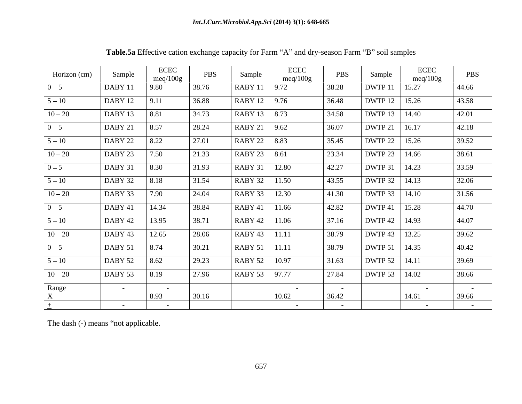| Horizon (cm) | Sample                   | ECEC<br>meq/100g | PBS   | Sample            | ECEC<br>meq/100g | PBS        | Sample            | ECEC<br>meq/100g | PBS                  |
|--------------|--------------------------|------------------|-------|-------------------|------------------|------------|-------------------|------------------|----------------------|
| $0 - 5$      | DABY 11                  | 9.80             | 38.76 | RABY 11           | 9.72             | 38.28      | DWTP 11           | 15.27            | 44.66                |
| $5 - 10$     | DABY 12                  | 9.11             | 36.88 | RABY 12   $9.76$  |                  | 36.48      | DWTP 12   15.26   |                  | 43.58                |
| $10 - 20$    | DABY 13                  | 8.81             | 34.73 | RABY 13   8.73    |                  | 34.58      | DWTP 13   14.40   |                  | 42.01                |
| $0 - 5$      | DABY 21                  | 8.57             | 28.24 | RABY 21   $9.62$  |                  | 36.07      | DWTP 21           | 16.17            | 42.18                |
| $5 - 10$     | DABY 22                  | 8.22             | 27.01 | RABY 22   8.83    |                  | 35.45      | DWTP 22   15.26   |                  | 39.52                |
| $10 - 20$    | DABY 23                  | 7.50             | 21.33 | RABY 23   8.61    |                  | 23.34      | DWTP 23   14.66   |                  | 38.61                |
| $0 - 5$      | DABY 31                  | 8.30             | 31.93 | RABY 31           | 12.80            | 42.27      | DWTP 31           | 14.23            | 33.59                |
| $5 - 10$     | DABY 32                  | 8.18             | 31.54 | RABY 32           | 11.50            | 43.55      | DWTP 32   14.13   |                  | 32.06                |
| $10 - 20$    | DABY 33                  | 7.90             | 24.04 | RABY 33           | 12.30            | 41.30      | DWTP 33   14.10   |                  | 31.56                |
| $0 - 5$      | DABY 41                  | 14.34            | 38.84 | RABY 41           | 11.66            | 42.82      | $DWTP 41$   15.28 |                  | 44.70                |
| $5 - 10$     | DABY 42                  | 13.95            | 38.71 | RABY 42   11.06   |                  | 37.16      | DWTP 42   14.93   |                  | 44.07                |
| $10 - 20$    | DABY 43                  | 12.65            | 28.06 | $RABY 43$   11.11 |                  | 38.79      | DWTP 43   13.25   |                  | 39.62                |
| $0 - 5$      | DABY 51                  | 8.74             | 30.21 | RABY 51   11.11   |                  | 38.79      | DWTP 51   14.35   |                  | 40.42                |
| $5 - 10$     | DABY 52                  | 8.62             | 29.23 | RABY 52   10.97   |                  | 31.63      | DWTP 52   14.11   |                  | 39.69                |
| $10 - 20$    | DABY 53                  | 8.19             | 27.96 | RABY 53 97.77     |                  | 27.84      | DWTP 53   14.02   |                  | 38.66                |
| Range        | $\sim$ $ \sim$           | $\sim$           |       |                   | $\sim$ $-$       | $\sim$     |                   | $\sim$           | $\sim$               |
|              |                          | 8.93             | 30.16 |                   | 10.62            | 36.42      |                   | 14.61            | 39.66                |
|              | <b>Contract Contract</b> | $\sim$ $-$       |       |                   | $\sim$ $-$       | $\sim$ $-$ |                   | $\sim$ $-$       | $\sim 100$ m $^{-1}$ |

Table.5a Effective cation exchange capacity for Farm "A" and dry-season Farm "B" soil samples

The dash (-) means "not applicable.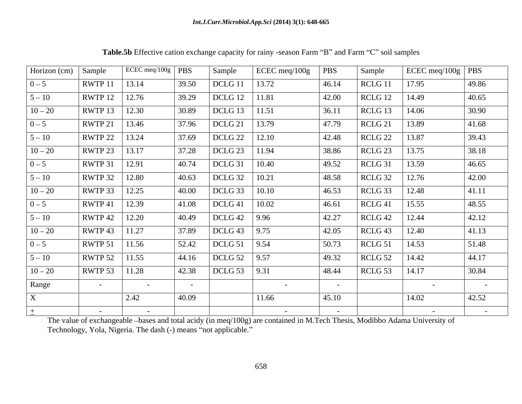| Horizon (cm) $\vert$ Sample |                | ECEC meq/100g   $PBS$ |        | Sample             | ECEC meq/100g | <b>PBS</b> | Sample             | ECEC meq/100g   PBS |                |
|-----------------------------|----------------|-----------------------|--------|--------------------|---------------|------------|--------------------|---------------------|----------------|
| $0 - 5$                     | RWTP 11        | 13.14                 | 39.50  | DCLG 11            | 13.72         | 46.14      | RCLG 11            | 17.95               | 49.86          |
| $5 - 10$                    | RWTP 12        | 12.76                 | 39.29  | DCLG 12            | 11.81         | 42.00      | RCLG 12            | 14.49               | 40.65          |
| $10 - 20$                   | RWTP 13        | 12.30                 | 30.89  | DCLG 13            | 11.51         | 36.11      | RCLG 13            | 14.06               | 30.90          |
| $0 - 5$                     | RWTP 21        | 13.46                 | 37.96  | DCLG <sub>21</sub> | 13.79         | 47.79      | RCLG 21            | 13.89               | 41.68          |
| $5 - 10$                    | RWTP 22        | 13.24                 | 37.69  | DCLG 22            | 12.10         | 42.48      | RCLG 22            | 13.87               | 39.43          |
| $10 - 20$                   | RWTP 23        | 13.17                 | 37.28  | DCLG <sub>23</sub> | 11.94         | 38.86      | RCLG <sub>23</sub> | 13.75               | 38.18          |
| $0 - 5$                     | RWTP 31        | 12.91                 | 40.74  | DCLG 31            | 10.40         | 49.52      | RCLG 31            | 13.59               | 46.65          |
| $5 - 10$                    | RWTP 32        | 12.80                 | 40.63  | DCLG 32            | 10.21         | 48.58      | RCLG 32            | 12.76               | 42.00          |
| $10 - 20$                   | RWTP 33        | 12.25                 | 40.00  | DCLG 33            | 10.10         | 46.53      | RCLG 33            | 12.48               | 41.11          |
| $0 - 5$                     | RWTP 41        | 12.39                 | 41.08  | DCLG <sub>41</sub> | 10.02         | 46.61      | $RCLG$ 41          | 15.55               | 48.55          |
| $5 - 10$                    | RWTP 42        | 12.20                 | 40.49  | DCLG 42            | $9.96$        | 42.27      | RCLG 42            | 12.44               | 42.12          |
| $10 - 20$                   | RWTP 43        | 11.27                 | 37.89  | DCLG 43            | 9.75          | 42.05      | RCLG <sub>43</sub> | 12.40               | 41.13          |
| $0 - 5$                     | RWTP 51        | 11.56                 | 52.42  | DCLG 51            | 9.54          | 50.73      | RCLG 51            | 14.53               | 51.48          |
| $5 - 10$                    | RWTP 52        | 11.55                 | 44.16  | DCLG 52            | 9.57          | 49.32      | RCLG 52            | 14.42               | 44.17          |
| $10 - 20$                   | RWTP 53        | 11.28                 | 42.38  | DCLG 53            | 9.31          | 48.44      | RCLG <sub>53</sub> | 14.17               | 30.84          |
| Range                       | $\sim$ $ \sim$ | $\sim$ $-$            | $\sim$ |                    | $\sim$        | $\sim$ $-$ |                    | $\sim$              | $\sim$         |
|                             |                | 2.42                  | 40.09  |                    | 11.66         | 45.10      |                    | 14.02               | 42.52          |
|                             | $\sim$ $\sim$  | $\sim$ $-$            |        |                    | $\sim$ $-$    | $\sim$ $-$ |                    | $\sim$ $-$          | $\sim$ $ \sim$ |

Table.5b Effective cation exchange capacity for rainy -season Farm "B" and Farm "C" soil samples

The value of exchangeable bases and total acidy (in meq/100g) are contained in M.Tech Thesis, Modibbo Adama University of Technology, Yola, Nigeria. The dash (-) means "not applicable."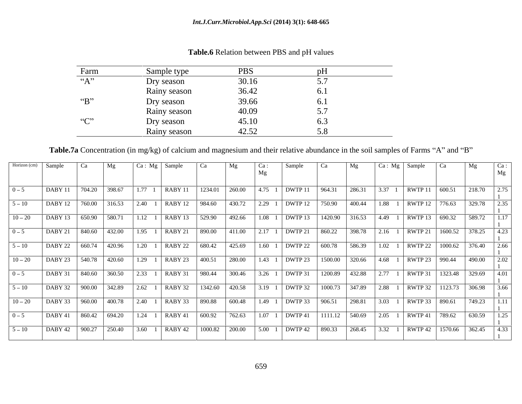| Farm                                              | Sample type  | <b>PBS</b>    | pH                        |
|---------------------------------------------------|--------------|---------------|---------------------------|
| $66 \wedge 22$<br>$\mathbf{A}$                    | Dry season   | $30.16\,$     | - -<br>$\cup$ ., $\prime$ |
|                                                   | Rainy season | 36.42         | 0.1                       |
| $\left($ $\left($ $\mathbf{D}$ $\right)$ $\left($ | Dry season   | 39.66         | 0.1                       |
|                                                   | Rainy season | 40.09         | - -<br>$\cup$ . $\prime$  |
| $\mathcal{L}(\mathcal{L}^{(1)})$                  | Dry season   | 45.10         | 0.3                       |
|                                                   | Rainy season | 1252<br>−∠…∠∠ |                           |

### **Table.6** Relation between PBS and pH values

Table.7a Concentration (in mg/kg) of calcium and magnesium and their relative abundance in the soil samples of Farms "A" and "B"

| DABY 11   704.20   398.67   1.77 1   RABY 11   1234.01   260.00   4.75 1   DWTP 11   964.31<br>286.31<br>$3.37 \quad 1 \quad \text{RWTP} \quad 11 \quad 600.51$<br>218.70<br>2.75<br>DABY 12   760.00   316.53   2.40 1   RABY 12   984.60   430.72   2.29 1   DWTP 12   750.90   400.44<br>$1.88 \quad 1$   RWTP 12   776.63<br>329.78<br>12.35<br>DABY 13   650.90   580.71   1.12 1   RABY 13   529.90   492.66   1.08 1   DWTP 13   1420.90   316.53   4.49 1   RWTP 13   690.32<br>1.17<br>DABY 21   840.60   432.00   1.95 1   RABY 21   890.00   411.00   2.17 1   DWTP 21   860.22   398.78   2.16 1   RWTP 21   1600.52   378.25<br>DABY 22   660.74   420.96   1.20 1   RABY 22   680.42   425.69   1.60 1   DWTP 22   600.78<br>586.39<br>RWTP 22 1000.62<br>$1.02 \quad 1$<br>12.66<br>DABY 23   540.78   420.60   1.29 1   RABY 23   400.51   280.00   1.43 1   DWTP 23   1500.00   320.66<br>$ 4.68 \t1$ RWTP 23   990.44<br>490.00<br>DABY 31   840.60   360.50   2.33 1   RABY 31   980.44   300.46   3.26 1   DWTP 31   1200.89   432.88<br>  2.77 1   RWTP 31   1323.48   329.69   4.01  <br>  900.00   342.89   2.62 1   RABY 32   1342.60   420.58   3.19 1   DWTP 32   1000.73   347.89<br>  2.88 1   RWTP 32   1123.73   306.98<br>DABY 32<br>3.66<br>$\left[\right.960.00\left.\right.1400.78\left.\right.\right.240\left.\right.1\left.\right.18ABY33\left.\right.890.88\left.\right.1600.48\left.\right.1.49\left.\right.1\left.19000\right.1\left.00000\right.10003\right.10000$<br>$3.03 \quad 1$ RWTP 33 890.61<br>749.23   1.11<br>DABY 41   860.42   694.20   1.24 1   RABY 41   600.92   762.63   1.07 1   DWTP 41   1111.12   540.69<br>$2.05 \quad 1 \quad \text{RWTP } 41 \quad 789.62$<br>630.59 |          | Horizon (cm) Sample | Mg | $Ca: Mg$ Sample | Ca | Ca: | Sample | Ca | Mg | Ca: Mg   Sample   Ca | Mg | $ $ Ca :<br>Mg |
|-------------------------------------------------------------------------------------------------------------------------------------------------------------------------------------------------------------------------------------------------------------------------------------------------------------------------------------------------------------------------------------------------------------------------------------------------------------------------------------------------------------------------------------------------------------------------------------------------------------------------------------------------------------------------------------------------------------------------------------------------------------------------------------------------------------------------------------------------------------------------------------------------------------------------------------------------------------------------------------------------------------------------------------------------------------------------------------------------------------------------------------------------------------------------------------------------------------------------------------------------------------------------------------------------------------------------------------------------------------------------------------------------------------------------------------------------------------------------------------------------------------------------------------------------------------------------------------------------------------------------------------------------------------------------------------------------------------------------------------|----------|---------------------|----|-----------------|----|-----|--------|----|----|----------------------|----|----------------|
| $5 - 10$<br>$10 - 20$<br>$0 - 5$<br>$5 - 10$<br>$10 - 20$<br>$0 - 5$<br>$5 - 10$<br>$10 - 20$<br>$0 - 5$                                                                                                                                                                                                                                                                                                                                                                                                                                                                                                                                                                                                                                                                                                                                                                                                                                                                                                                                                                                                                                                                                                                                                                                                                                                                                                                                                                                                                                                                                                                                                                                                                            | $0 - 5$  |                     |    |                 |    |     |        |    |    |                      |    |                |
|                                                                                                                                                                                                                                                                                                                                                                                                                                                                                                                                                                                                                                                                                                                                                                                                                                                                                                                                                                                                                                                                                                                                                                                                                                                                                                                                                                                                                                                                                                                                                                                                                                                                                                                                     |          |                     |    |                 |    |     |        |    |    |                      |    |                |
|                                                                                                                                                                                                                                                                                                                                                                                                                                                                                                                                                                                                                                                                                                                                                                                                                                                                                                                                                                                                                                                                                                                                                                                                                                                                                                                                                                                                                                                                                                                                                                                                                                                                                                                                     |          |                     |    |                 |    |     |        |    |    |                      |    |                |
|                                                                                                                                                                                                                                                                                                                                                                                                                                                                                                                                                                                                                                                                                                                                                                                                                                                                                                                                                                                                                                                                                                                                                                                                                                                                                                                                                                                                                                                                                                                                                                                                                                                                                                                                     |          |                     |    |                 |    |     |        |    |    |                      |    |                |
|                                                                                                                                                                                                                                                                                                                                                                                                                                                                                                                                                                                                                                                                                                                                                                                                                                                                                                                                                                                                                                                                                                                                                                                                                                                                                                                                                                                                                                                                                                                                                                                                                                                                                                                                     |          |                     |    |                 |    |     |        |    |    |                      |    |                |
|                                                                                                                                                                                                                                                                                                                                                                                                                                                                                                                                                                                                                                                                                                                                                                                                                                                                                                                                                                                                                                                                                                                                                                                                                                                                                                                                                                                                                                                                                                                                                                                                                                                                                                                                     |          |                     |    |                 |    |     |        |    |    |                      |    |                |
|                                                                                                                                                                                                                                                                                                                                                                                                                                                                                                                                                                                                                                                                                                                                                                                                                                                                                                                                                                                                                                                                                                                                                                                                                                                                                                                                                                                                                                                                                                                                                                                                                                                                                                                                     |          |                     |    |                 |    |     |        |    |    |                      |    |                |
|                                                                                                                                                                                                                                                                                                                                                                                                                                                                                                                                                                                                                                                                                                                                                                                                                                                                                                                                                                                                                                                                                                                                                                                                                                                                                                                                                                                                                                                                                                                                                                                                                                                                                                                                     |          |                     |    |                 |    |     |        |    |    |                      |    |                |
|                                                                                                                                                                                                                                                                                                                                                                                                                                                                                                                                                                                                                                                                                                                                                                                                                                                                                                                                                                                                                                                                                                                                                                                                                                                                                                                                                                                                                                                                                                                                                                                                                                                                                                                                     |          |                     |    |                 |    |     |        |    |    |                      |    |                |
|                                                                                                                                                                                                                                                                                                                                                                                                                                                                                                                                                                                                                                                                                                                                                                                                                                                                                                                                                                                                                                                                                                                                                                                                                                                                                                                                                                                                                                                                                                                                                                                                                                                                                                                                     |          |                     |    |                 |    |     |        |    |    |                      |    |                |
| DABY 42   900.27   250.40   3.60 1   RABY 42   1000.82   200.00   5.00 1   DWTP 42   890.33   268.45<br>$\vert$ 3.32 1   RWTP 42   1570.66   362.45   4.33                                                                                                                                                                                                                                                                                                                                                                                                                                                                                                                                                                                                                                                                                                                                                                                                                                                                                                                                                                                                                                                                                                                                                                                                                                                                                                                                                                                                                                                                                                                                                                          | $5 - 10$ |                     |    |                 |    |     |        |    |    |                      |    |                |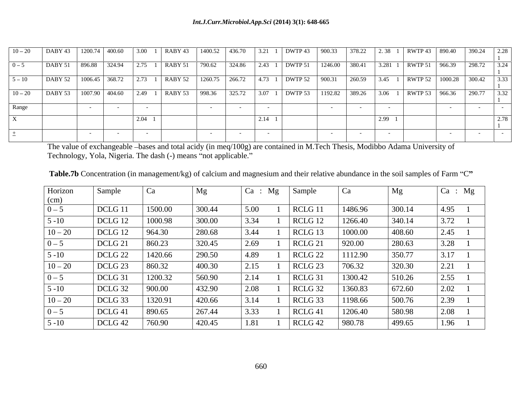|       |  |      |  |      | 10-20 DABY 43 1200.74 400.60 3.00 1 RABY 43 1400.52 436.70 3.21 1 DWTP 43 900.33 378.22 2.38 1 RWTP 43 890.40 390.24 2.28 |  |      |  |  |
|-------|--|------|--|------|---------------------------------------------------------------------------------------------------------------------------|--|------|--|--|
|       |  |      |  |      | DABY 51 896.88 324.94 2.75 1 RABY 51 790.62 324.86 2.43 1 DWTP 51 1246.00 380.41 3.281 1 RWTP 51 966.39 298.72 3.24       |  |      |  |  |
| - 10  |  |      |  |      | DABY 52 1006.45 368.72 2.73 1 RABY 52 1260.75 266.72 4.73 1 DWTP 52 900.31 260.59 3.45 1 RWTP 52 1000.28 300.42 3.33      |  |      |  |  |
|       |  |      |  |      | 1007.90 404.60 2.49 1 RABY 53 998.36 325.72 3.07 1 DWTP 53 1192.82 389.26 3.06 1 RWTP 53 966.36 290.77 3.32               |  |      |  |  |
| Range |  |      |  |      |                                                                                                                           |  |      |  |  |
|       |  | 2.04 |  | 2.14 |                                                                                                                           |  | 2.99 |  |  |
|       |  |      |  |      |                                                                                                                           |  |      |  |  |

The value of exchangeable bases and total acidy (in meq/100g) are contained in M.Tech Thesis, Modibbo Adama University of Technology, Yola, Nigeria. The dash (-) means "not applicable."

| Horizon                           | Sample             | Ca      | Mg     |      | Ca : Mg | Sample             | C <sup>a</sup> | Mg     | $\boxed{\text{Ca : Mg}}$ |
|-----------------------------------|--------------------|---------|--------|------|---------|--------------------|----------------|--------|--------------------------|
| $\frac{\text{(cm)}}{\text{(cm)}}$ |                    |         |        |      |         |                    |                |        |                          |
| $0 - 5$                           | DCLG <sub>11</sub> | 1500.00 | 300.44 | 5.00 |         | RCLG 11            | 1486.96        | 300.14 | $ 4.95\rangle$           |
| $5 - 10$                          | DCLG 12            | 1000.98 | 300.00 | 3.34 |         | RCLG 12            | 1266.40        | 340.14 | 3.72                     |
| $10 - 20$                         | DCLG 12            | 964.30  | 280.68 | 3.44 |         | RCLG <sub>13</sub> | 1000.00        | 408.60 | 2.45                     |
| $0 - 5$                           | DCLG <sub>21</sub> | 860.23  | 320.45 | 2.69 |         | RCLG <sub>21</sub> | 920.00         | 280.63 | 3.28                     |
| $5 - 10$                          | DCLG <sub>22</sub> | 1420.66 | 290.50 | 4.89 |         | RCLG <sub>22</sub> | 1112.90        | 350.77 | 3.17                     |
| $10 - 20$                         | DCLG <sub>23</sub> | 860.32  | 400.30 | 2.15 |         | RCLG <sub>23</sub> | 706.32         | 320.30 | 2.21                     |
| $0 - 5$                           | DCLG 31            | 1200.32 | 560.90 | 2.14 |         | RCLG <sub>31</sub> | 1300.42        | 510.26 | 2.55                     |
| $5 - 10$                          | DCLG 32            | 900.00  | 432.90 | 2.08 |         | RCLG 32            | 1360.83        | 672.60 | 2.02                     |
| $10 - 20$                         | DCLG 33            | 1320.91 | 420.66 | 3.14 |         | RCLG 33            | 1198.66        | 500.76 | 2.39                     |
| $0 - 5$                           | DCLG <sub>41</sub> | 890.65  | 267.44 | 3.33 |         | RCLG <sub>41</sub> | 1206.40        | 580.98 | 2.08                     |
| $5 - 10$                          | DCLG 42            | 760.90  | 420.45 | 1.81 |         | RCLG 42            | 980.78         | 499.65 | 1.96                     |

Table.7b Concentration (in management/kg) of calcium and magnesium and their relative abundance in the soil samples of Farm "C"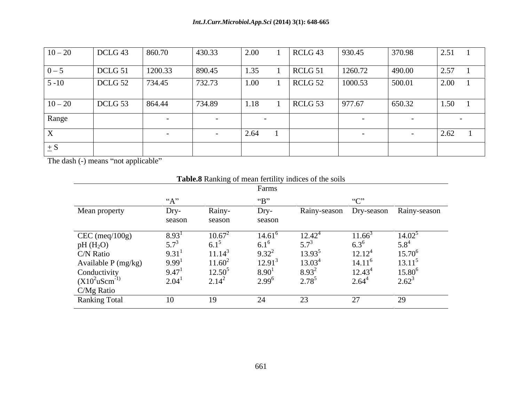| $10 - 20$ | DCLG <sub>43</sub> | 860.70                   | 430.33 | 2.00 | $RCLG$ 43 | 930.45  | 370.98 | 2.51 |  |
|-----------|--------------------|--------------------------|--------|------|-----------|---------|--------|------|--|
| $0 - 5$   | DCLG 51            | 1200.33                  | 890.45 | 1.35 | $RCLG$ 51 | 1260.72 | 490.00 | 2.57 |  |
| $5 - 10$  | DCLG 52            | 734.45                   | 732.73 | 1.00 | $RCLG$ 52 | 1000.53 | 500.01 | 2.00 |  |
| $10 - 20$ | DCLG 53            | 864.44                   | 734.89 | 1.18 | $RCLG$ 53 | 977.67  | 650.32 | 1.50 |  |
| Range     |                    | $\overline{\phantom{0}}$ |        |      |           |         |        |      |  |
|           |                    |                          |        | 2.64 |           |         |        | 2.62 |  |
| $\pm S$   |                    |                          |        |      |           |         |        |      |  |

The dash (-) means "not applicable"

|                                                                     | <b>Table.8</b> Ranking of mean fertility indices of the soils |               |                          |                 |             |                                      |  |
|---------------------------------------------------------------------|---------------------------------------------------------------|---------------|--------------------------|-----------------|-------------|--------------------------------------|--|
|                                                                     |                                                               |               | Farms                    |                 |             |                                      |  |
|                                                                     | (4.12)                                                        |               | $\mathbf{G}(\mathbf{D})$ |                 | (67)        |                                      |  |
| Mean property                                                       | $Dry-$                                                        | Rainy-        | $Dry-$                   |                 |             | Rainy-season Dry-season Rainy-season |  |
|                                                                     | season                                                        | season        | season                   |                 |             |                                      |  |
| $CEC$ (meq/100g)                                                    | $8.93^{\text{T}}$                                             | $10.67^2$     | $14.61^{\circ}$          | $12.42^{4}$     | $11.66^{3}$ | $14.02^{\circ}$                      |  |
|                                                                     | $5.7^{3}$                                                     | $6.1^{\circ}$ |                          | $5.7^3$         | $6.3^{6}$   |                                      |  |
| pH $(H_2O)$<br>C/N Ratio                                            | 9.31 <sup>1</sup>                                             | $11.14^3$     | $9.32^{2}$               | $13.93^{\circ}$ | $12.12^{4}$ | $15.70^{\circ}$                      |  |
| Available P (mg/kg)                                                 | 9.99 <sup>1</sup>                                             | $11.60^2$     | $12.91^3$                | $13.03^{4}$     | $14.11^{6}$ | $13.11^5$                            |  |
|                                                                     | 9.47                                                          | $12.50^3$     | $8.90^{1}$               | $8.93^{2}$      | $12.43^4$   | $15.80^{\circ}$                      |  |
| Conductivity<br>(X10 <sup>2</sup> uScm <sup>-1)</sup><br>C/Mg Ratio | 2.04 <sup>1</sup>                                             | $2.14^{2}$    | $2.99^{6}$               | $2.78^{5}$      | $2.64^{4}$  | $2.62^{3}$                           |  |
|                                                                     |                                                               |               |                          |                 |             |                                      |  |
| <b>Ranking Total</b>                                                | 10                                                            | -19           |                          | 23              |             | 29                                   |  |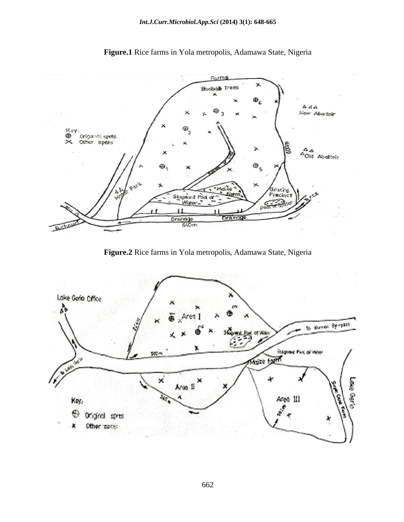

**Figure.1** Rice farms in Yola metropolis, Adamawa State, Nigeria

**Figure.2** Rice farms in Yola metropolis, Adamawa State, Nigeria

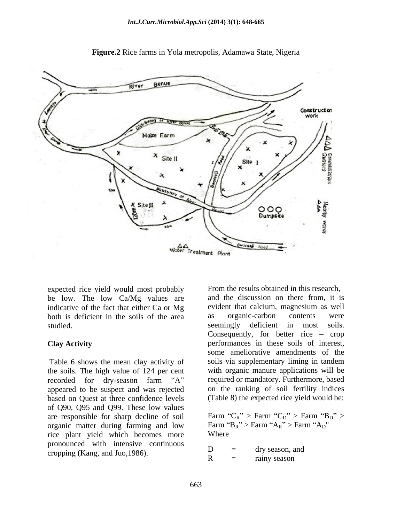

**Figure.2** Rice farms in Yola metropolis, Adamawa State, Nigeria

expected rice yield would most probably be low. The low Ca/Mg values are studied. Seemingly deficient in most

Table 6 shows the mean clay activity of the soils. The high value of 124 per cent appeared to be suspect and was rejected based on Quest at three confidence levels of Q90, Q95 and Q99. These low values<br>are responsible for sharp decline of soil Farm " $C_R$ " > Farm " $C_D$ " > Farm " $B_D$ " > are responsible for sharp decline of soil Farm " $C_R$ " > Farm " $C_D$ " > Farm " $B_R$ " > Farm " $A_R$ " > Farm " $A_D$ " organic matter during farming and low rice plant yield which becomes more pronounced with intensive continuous<br>  $D =$  dry season, and<br>  $D =$  dry season, and cropping (Kang, and Juo, 1986).  $\begin{array}{ccc}\n\mathbf{D} & \equiv & \text{ary season, a} \\
\mathbf{R} & = & \text{rainy season}\n\end{array}$ 

indicative of the fact that either Ca or Mg evident that calcium, magnesium as well both is deficient in the soils of the area as organic-carbon contents were studied.<br>Seemingly deficient in most soils. **Clay Activity** performances in these soils of interest, recorded for dry-season farm "A" required or mandatory. Furthermore, based From the results obtained in this research, and the discussion on there from, it is as organic-carbon contents were seemingly deficient in most soils. Consequently, for better rice  $-$  crop some ameliorative amendments of the soils via supplementary liming in tandem with organic manure applications will be on the ranking of soil fertility indices (Table 8) the expected rice yield would be:

> Farm " $C_R$ " > Farm " $C_D$ " > Farm " $B_D$ " > Farm " $B_R$ " > Farm " $A_R$ " > Farm " $A_D$ " Where **We have a structure of the structure**  $\mathbf{W}$  and  $\mathbf{W}$  are  $\mathbf{W}$  and  $\mathbf{W}$  are  $\mathbf{W}$  and  $\mathbf{W}$  are  $\mathbf{W}$  and  $\mathbf{W}$  are  $\mathbf{W}$  and  $\mathbf{W}$  are  $\mathbf{W}$  and  $\mathbf{W}$  are  $\mathbf{W}$  and  $\mathbf{W}$

 $D =$  dry season, and  $R =$  rainy season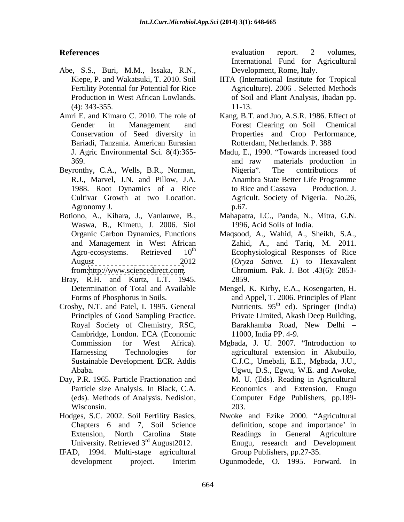- Abe, S.S., Buri, M.M., Issaka, R.N.,
- Bariadi, Tanzania. American Eurasian
- Beyronthy, C.A., Wells, B.R., Norman, Nigeria". The contributions of R.J., Marvel, J.N. and Pillow, J.A.
- Botiono, A., Kihara, J., Vanlauwe, B., Mahapatra, I.C., Panda, N., Mitra, G.N. Waswa, B., Kimetu, J. 2006. Siol
- Bray, R.H. and Kurtz, L.T. 1945.
- Cambridge, London. ECA (Economic Sustainable Development. ECR. Addis
- Day, P.R. 1965. Particle Fractionation and
- Hodges, S.C. 2002. Soil Fertility Basics, University. Retrieved 3rd August2012.
- IFAD, 1994. Multi-stage agricultural

**References** evaluation report. 2 volumes, evaluation report. 2 volumes, International Fund for Agricultural Development, Rome, Italy.

- Kiepe, P. and Wakatsuki, T. 2010. Soil IITA (International Institute for Tropical Fertility Potential for Potential for Rice Agriculture). 2006 . Selected Methods Production in West African Lowlands.  $\qquad \qquad$  of Soil and Plant Analysis, Ibadan pp. (4): 343-355. 11-13.
- Amri E. and Kimaro C. 2010. The role of Kang, B.T. and Juo, A.S.R. 1986. Effect of Gender in Management and Forest Clearing on Soil Chemical Conservation of Seed diversity in Properties and Crop Performance, Forest Clearing on Soil Chemical Rotterdam, Netherlands. P. 388
	- J. Agric Environmental Sci. 8(4):365- Madu, E., 1990. Towards increased food 369. **369. 1999 1999 1999 1999 1999 1999 1999 1999 1999 1999 1999 1999 1999 1999 1999 1999 1999 1999 1999 1999 1999 1999 1999 1999 1999 1999 1999 1999 1999 1999** 1988. Root Dynamics of a Rice to Rice and Cassava Production. J. Cultivar Growth at two Location. Agricult. Society of Nigeria. No.26, Agronomy J.  $p.67$ . and raw materials production in Nigeria". The contributions of Anambra State Better Life Programme to Rice and Cassava Production. J. p.67*.*
		- 1996, Acid Soils of India.
	- Organic Carbon Dynamics, Functions Maqsood, A., Wahid, A., Sheikh, S.A., and Management in West African Zahid, A., and Tariq, M. 2011. Agro-ecosystems. Retrieved 10<sup>th</sup> Ecophysiological Responses of Rice August 2012 (*Oryza Sativa. L*) to Hexavalent from[:http://www.sciencedirect.com](http://www.sciencedirect.com). Chromium. Pak. J. Bot .43(6): 2853- 2859.
- Determination of Total and Available Mengel, K. Kirby, E.A., Kosengarten, H. Forms of Phosphorus in Soils. and Appel, T. 2006. Principles of Plant Crosby, N.T. and Patel, I. 1995. General Mutrients. 95<sup>th</sup> ed). Springer (India) Principles of Good Sampling Practice. Private Limited, Akash Deep Building, Royal Society of Chemistry, RSC, Barakhamba Road, New Delhi – Barakhamba Road, New Delhi 11000, India PP. 4-9.
	- Commission for West Africa). Mgbada, J. U. 2007. "Introduction to Harnessing Technologies for agricultural extension in Akubuilo, Ababa. Ugwu, D.S., Egwu, W.E. and Awoke, Particle size Analysis. In Black, C.A. Economics and Extension*.* Enugu (eds). Methods of Analysis. Nedision, Computer Edge Publishers, pp.189- Wisconsin. 203. C.J.C., Umebali, E.E., Mgbada, J.U., M. U. (Eds). Reading in Agricultural 203.
	- Chapters 6 and 7, Soil Science definition, scope and importance' in Extension, North Carolina State Readings in General Agriculture Nwoke and Ezike 2000. "Agricultural" Enugu, research and Development Group Publishers, pp.27-35.
	- development project. Interim Ogunmodede, O. 1995. Forward. In Ogunmodede, O. 1995. Forward. In